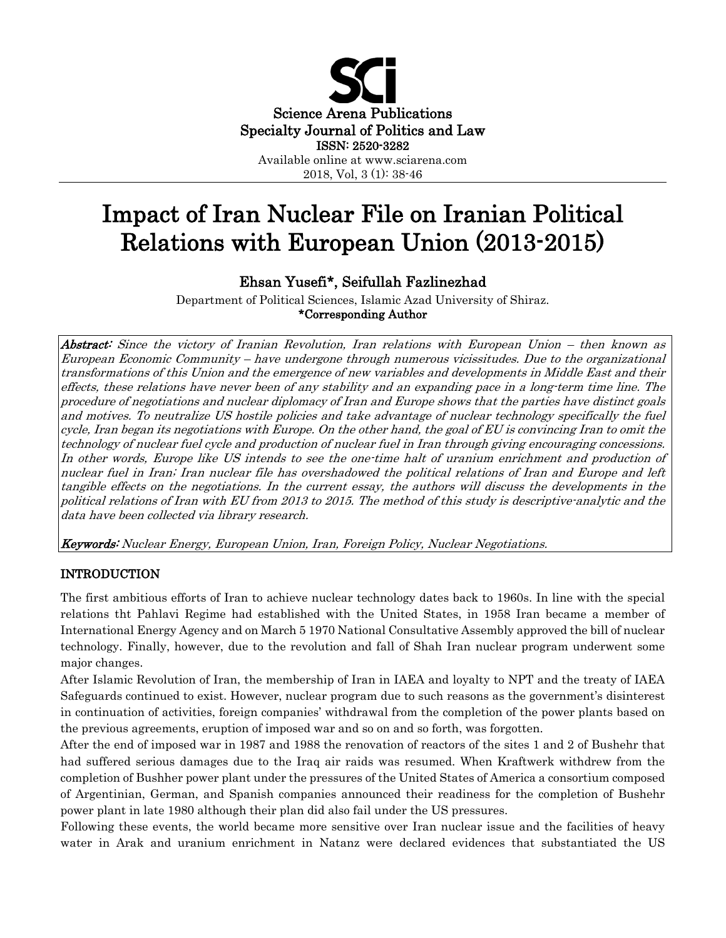

2018, Vol, 3 (1): 38-46

# Impact of Iran Nuclear File on Iranian Political Relations with European Union (2013-2015)

# Ehsan Yusefi\*, Seifullah Fazlinezhad

Department of Political Sciences, Islamic Azad University of Shiraz. \*Corresponding Author

Abstract: Since the victory of Iranian Revolution, Iran relations with European Union – then known as European Economic Community – have undergone through numerous vicissitudes. Due to the organizational transformations of this Union and the emergence of new variables and developments in Middle East and their effects, these relations have never been of any stability and an expanding pace in a long-term time line. The procedure of negotiations and nuclear diplomacy of Iran and Europe shows that the parties have distinct goals and motives. To neutralize US hostile policies and take advantage of nuclear technology specifically the fuel cycle, Iran began its negotiations with Europe. On the other hand, the goal of EU is convincing Iran to omit the technology of nuclear fuel cycle and production of nuclear fuel in Iran through giving encouraging concessions. In other words, Europe like US intends to see the one-time halt of uranium enrichment and production of nuclear fuel in Iran; Iran nuclear file has overshadowed the political relations of Iran and Europe and left tangible effects on the negotiations. In the current essay, the authors will discuss the developments in the political relations of Iran with EU from 2013 to 2015. The method of this study is descriptive-analytic and the data have been collected via library research.

Keywords: Nuclear Energy, European Union, Iran, Foreign Policy, Nuclear Negotiations.

# INTRODUCTION

The first ambitious efforts of Iran to achieve nuclear technology dates back to 1960s. In line with the special relations tht Pahlavi Regime had established with the United States, in 1958 Iran became a member of International Energy Agency and on March 5 1970 National Consultative Assembly approved the bill of nuclear technology. Finally, however, due to the revolution and fall of Shah Iran nuclear program underwent some major changes.

After Islamic Revolution of Iran, the membership of Iran in IAEA and loyalty to NPT and the treaty of IAEA Safeguards continued to exist. However, nuclear program due to such reasons as the government's disinterest in continuation of activities, foreign companies' withdrawal from the completion of the power plants based on the previous agreements, eruption of imposed war and so on and so forth, was forgotten.

After the end of imposed war in 1987 and 1988 the renovation of reactors of the sites 1 and 2 of Bushehr that had suffered serious damages due to the Iraq air raids was resumed. When Kraftwerk withdrew from the completion of Bushher power plant under the pressures of the United States of America a consortium composed of Argentinian, German, and Spanish companies announced their readiness for the completion of Bushehr power plant in late 1980 although their plan did also fail under the US pressures.

Following these events, the world became more sensitive over Iran nuclear issue and the facilities of heavy water in Arak and uranium enrichment in Natanz were declared evidences that substantiated the US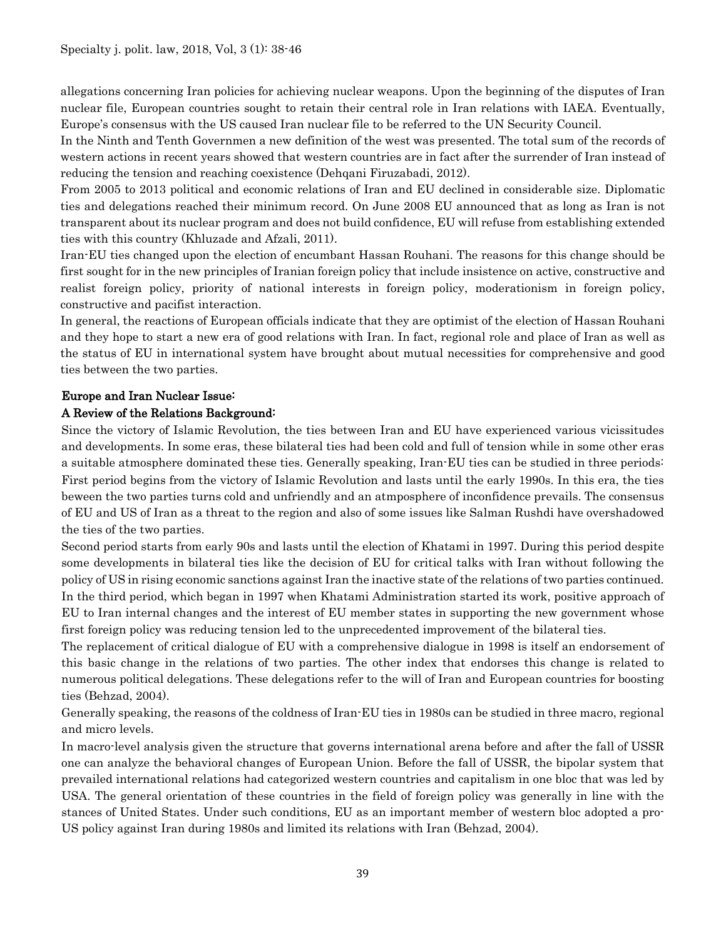allegations concerning Iran policies for achieving nuclear weapons. Upon the beginning of the disputes of Iran nuclear file, European countries sought to retain their central role in Iran relations with IAEA. Eventually, Europe's consensus with the US caused Iran nuclear file to be referred to the UN Security Council.

In the Ninth and Tenth Governmen a new definition of the west was presented. The total sum of the records of western actions in recent years showed that western countries are in fact after the surrender of Iran instead of reducing the tension and reaching coexistence (Dehqani Firuzabadi, 2012).

From 2005 to 2013 political and economic relations of Iran and EU declined in considerable size. Diplomatic ties and delegations reached their minimum record. On June 2008 EU announced that as long as Iran is not transparent about its nuclear program and does not build confidence, EU will refuse from establishing extended ties with this country (Khluzade and Afzali, 2011).

Iran-EU ties changed upon the election of encumbant Hassan Rouhani. The reasons for this change should be first sought for in the new principles of Iranian foreign policy that include insistence on active, constructive and realist foreign policy, priority of national interests in foreign policy, moderationism in foreign policy, constructive and pacifist interaction.

In general, the reactions of European officials indicate that they are optimist of the election of Hassan Rouhani and they hope to start a new era of good relations with Iran. In fact, regional role and place of Iran as well as the status of EU in international system have brought about mutual necessities for comprehensive and good ties between the two parties.

# Europe and Iran Nuclear Issue:

# A Review of the Relations Background:

Since the victory of Islamic Revolution, the ties between Iran and EU have experienced various vicissitudes and developments. In some eras, these bilateral ties had been cold and full of tension while in some other eras a suitable atmosphere dominated these ties. Generally speaking, Iran-EU ties can be studied in three periods: First period begins from the victory of Islamic Revolution and lasts until the early 1990s. In this era, the ties beween the two parties turns cold and unfriendly and an atmposphere of inconfidence prevails. The consensus of EU and US of Iran as a threat to the region and also of some issues like Salman Rushdi have overshadowed the ties of the two parties.

Second period starts from early 90s and lasts until the election of Khatami in 1997. During this period despite some developments in bilateral ties like the decision of EU for critical talks with Iran without following the policy of US in rising economic sanctions against Iran the inactive state of the relations of two parties continued. In the third period, which began in 1997 when Khatami Administration started its work, positive approach of EU to Iran internal changes and the interest of EU member states in supporting the new government whose first foreign policy was reducing tension led to the unprecedented improvement of the bilateral ties.

The replacement of critical dialogue of EU with a comprehensive dialogue in 1998 is itself an endorsement of this basic change in the relations of two parties. The other index that endorses this change is related to numerous political delegations. These delegations refer to the will of Iran and European countries for boosting ties (Behzad, 2004).

Generally speaking, the reasons of the coldness of Iran-EU ties in 1980s can be studied in three macro, regional and micro levels.

In macro-level analysis given the structure that governs international arena before and after the fall of USSR one can analyze the behavioral changes of European Union. Before the fall of USSR, the bipolar system that prevailed international relations had categorized western countries and capitalism in one bloc that was led by USA. The general orientation of these countries in the field of foreign policy was generally in line with the stances of United States. Under such conditions, EU as an important member of western bloc adopted a pro-US policy against Iran during 1980s and limited its relations with Iran (Behzad, 2004).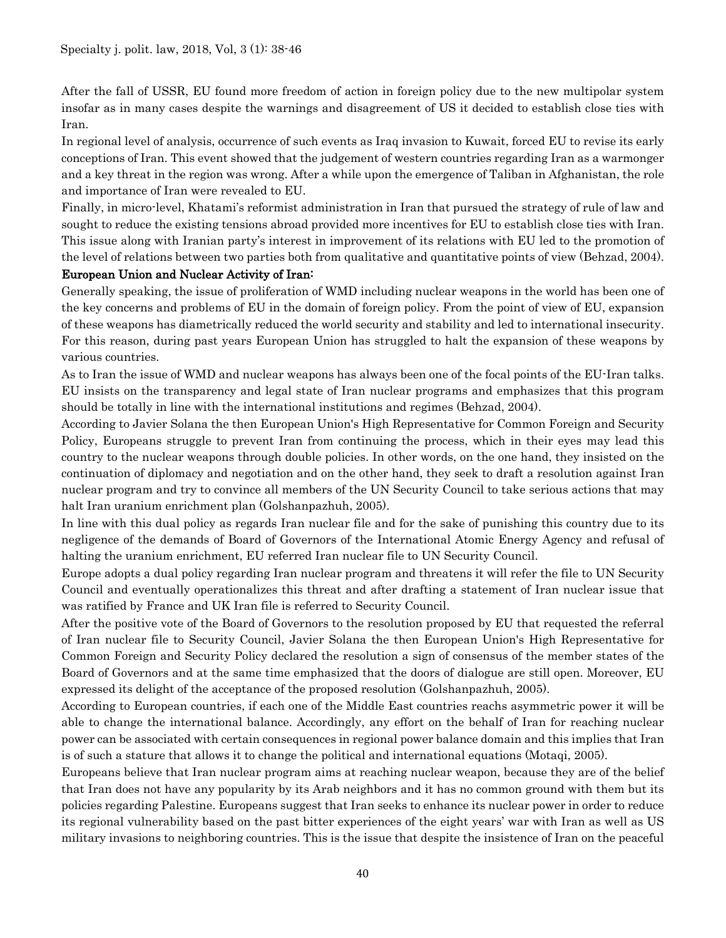After the fall of USSR, EU found more freedom of action in foreign policy due to the new multipolar system insofar as in many cases despite the warnings and disagreement of US it decided to establish close ties with Iran.

In regional level of analysis, occurrence of such events as Iraq invasion to Kuwait, forced EU to revise its early conceptions of Iran. This event showed that the judgement of western countries regarding Iran as a warmonger and a key threat in the region was wrong. After a while upon the emergence of Taliban in Afghanistan, the role and importance of Iran were revealed to EU.

Finally, in micro-level, Khatami's reformist administration in Iran that pursued the strategy of rule of law and sought to reduce the existing tensions abroad provided more incentives for EU to establish close ties with Iran. This issue along with Iranian party's interest in improvement of its relations with EU led to the promotion of the level of relations between two parties both from qualitative and quantitative points of view (Behzad, 2004).

#### European Union and Nuclear Activity of Iran:

Generally speaking, the issue of proliferation of WMD including nuclear weapons in the world has been one of the key concerns and problems of EU in the domain of foreign policy. From the point of view of EU, expansion of these weapons has diametrically reduced the world security and stability and led to international insecurity. For this reason, during past years European Union has struggled to halt the expansion of these weapons by various countries.

As to Iran the issue of WMD and nuclear weapons has always been one of the focal points of the EU-Iran talks. EU insists on the transparency and legal state of Iran nuclear programs and emphasizes that this program should be totally in line with the international institutions and regimes (Behzad, 2004).

According to Javier Solana the then [European Union'](https://en.wikipedia.org/wiki/European_Union)s [High Representative for Common Foreign and Security](https://en.wikipedia.org/wiki/High_Representative_for_Common_Foreign_and_Security_Policy)  [Policy,](https://en.wikipedia.org/wiki/High_Representative_for_Common_Foreign_and_Security_Policy) Europeans struggle to prevent Iran from continuing the process, which in their eyes may lead this country to the nuclear weapons through double policies. In other words, on the one hand, they insisted on the continuation of diplomacy and negotiation and on the other hand, they seek to draft a resolution against Iran nuclear program and try to convince all members of the UN Security Council to take serious actions that may halt Iran uranium enrichment plan (Golshanpazhuh, 2005).

In line with this dual policy as regards Iran nuclear file and for the sake of punishing this country due to its negligence of the demands of Board of Governors of the International Atomic Energy Agency and refusal of halting the uranium enrichment, EU referred Iran nuclear file to UN Security Council.

Europe adopts a dual policy regarding Iran nuclear program and threatens it will refer the file to UN Security Council and eventually operationalizes this threat and after drafting a statement of Iran nuclear issue that was ratified by France and UK Iran file is referred to Security Council.

After the positive vote of the Board of Governors to the resolution proposed by EU that requested the referral of Iran nuclear file to Security Council, Javier Solana the then European Union's High Representative for Common Foreign and Security Policy declared the resolution a sign of consensus of the member states of the Board of Governors and at the same time emphasized that the doors of dialogue are still open. Moreover, EU expressed its delight of the acceptance of the proposed resolution (Golshanpazhuh, 2005).

According to European countries, if each one of the Middle East countries reachs asymmetric power it will be able to change the international balance. Accordingly, any effort on the behalf of Iran for reaching nuclear power can be associated with certain consequences in regional power balance domain and this implies that Iran is of such a stature that allows it to change the political and international equations (Motaqi, 2005).

Europeans believe that Iran nuclear program aims at reaching nuclear weapon, because they are of the belief that Iran does not have any popularity by its Arab neighbors and it has no common ground with them but its policies regarding Palestine. Europeans suggest that Iran seeks to enhance its nuclear power in order to reduce its regional vulnerability based on the past bitter experiences of the eight years' war with Iran as well as US military invasions to neighboring countries. This is the issue that despite the insistence of Iran on the peaceful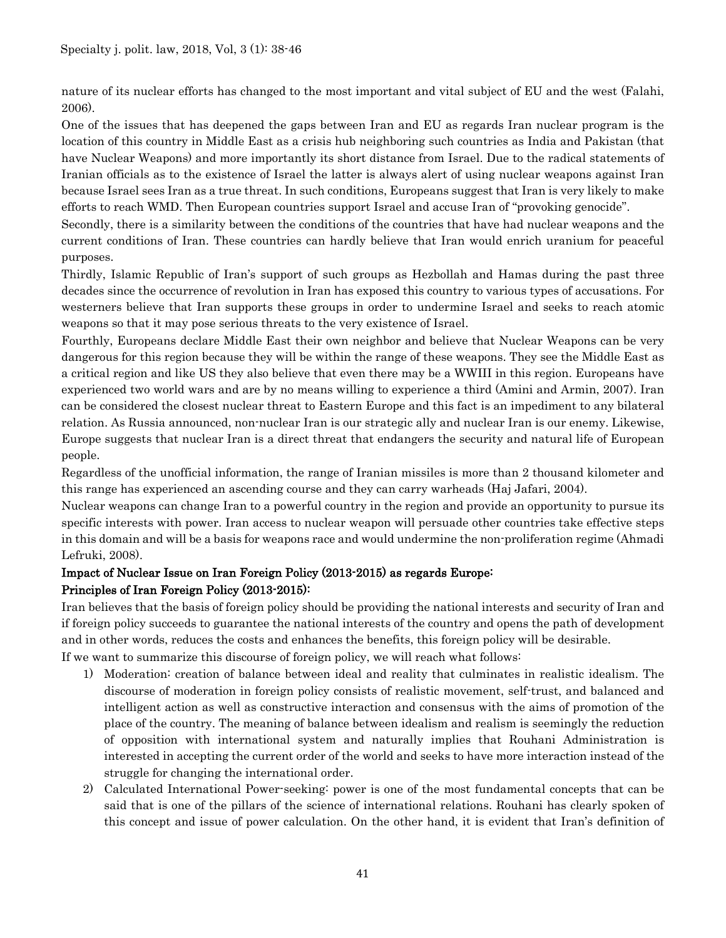nature of its nuclear efforts has changed to the most important and vital subject of EU and the west (Falahi, 2006).

One of the issues that has deepened the gaps between Iran and EU as regards Iran nuclear program is the location of this country in Middle East as a crisis hub neighboring such countries as India and Pakistan (that have Nuclear Weapons) and more importantly its short distance from Israel. Due to the radical statements of Iranian officials as to the existence of Israel the latter is always alert of using nuclear weapons against Iran because Israel sees Iran as a true threat. In such conditions, Europeans suggest that Iran is very likely to make efforts to reach WMD. Then European countries support Israel and accuse Iran of "provoking genocide".

Secondly, there is a similarity between the conditions of the countries that have had nuclear weapons and the current conditions of Iran. These countries can hardly believe that Iran would enrich uranium for peaceful purposes.

Thirdly, Islamic Republic of Iran's support of such groups as Hezbollah and Hamas during the past three decades since the occurrence of revolution in Iran has exposed this country to various types of accusations. For westerners believe that Iran supports these groups in order to undermine Israel and seeks to reach atomic weapons so that it may pose serious threats to the very existence of Israel.

Fourthly, Europeans declare Middle East their own neighbor and believe that Nuclear Weapons can be very dangerous for this region because they will be within the range of these weapons. They see the Middle East as a critical region and like US they also believe that even there may be a WWIII in this region. Europeans have experienced two world wars and are by no means willing to experience a third (Amini and Armin, 2007). Iran can be considered the closest nuclear threat to Eastern Europe and this fact is an impediment to any bilateral relation. As Russia announced, non-nuclear Iran is our strategic ally and nuclear Iran is our enemy. Likewise, Europe suggests that nuclear Iran is a direct threat that endangers the security and natural life of European people.

Regardless of the unofficial information, the range of Iranian missiles is more than 2 thousand kilometer and this range has experienced an ascending course and they can carry warheads (Haj Jafari, 2004).

Nuclear weapons can change Iran to a powerful country in the region and provide an opportunity to pursue its specific interests with power. Iran access to nuclear weapon will persuade other countries take effective steps in this domain and will be a basis for weapons race and would undermine the non-proliferation regime (Ahmadi Lefruki, 2008).

# Impact of Nuclear Issue on Iran Foreign Policy (2013-2015) as regards Europe: Principles of Iran Foreign Policy (2013-2015):

Iran believes that the basis of foreign policy should be providing the national interests and security of Iran and if foreign policy succeeds to guarantee the national interests of the country and opens the path of development and in other words, reduces the costs and enhances the benefits, this foreign policy will be desirable.

If we want to summarize this discourse of foreign policy, we will reach what follows:

- 1) Moderation: creation of balance between ideal and reality that culminates in realistic idealism. The discourse of moderation in foreign policy consists of realistic movement, self-trust, and balanced and intelligent action as well as constructive interaction and consensus with the aims of promotion of the place of the country. The meaning of balance between idealism and realism is seemingly the reduction of opposition with international system and naturally implies that Rouhani Administration is interested in accepting the current order of the world and seeks to have more interaction instead of the struggle for changing the international order.
- 2) Calculated International Power-seeking: power is one of the most fundamental concepts that can be said that is one of the pillars of the science of international relations. Rouhani has clearly spoken of this concept and issue of power calculation. On the other hand, it is evident that Iran's definition of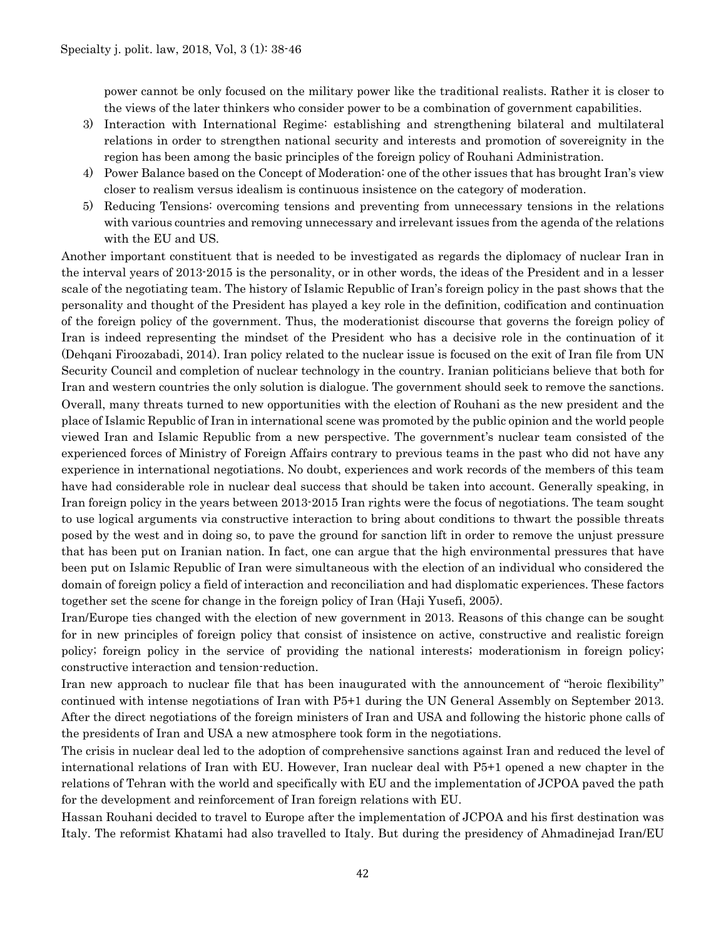power cannot be only focused on the military power like the traditional realists. Rather it is closer to the views of the later thinkers who consider power to be a combination of government capabilities.

- 3) Interaction with International Regime: establishing and strengthening bilateral and multilateral relations in order to strengthen national security and interests and promotion of sovereignity in the region has been among the basic principles of the foreign policy of Rouhani Administration.
- 4) Power Balance based on the Concept of Moderation: one of the other issues that has brought Iran's view closer to realism versus idealism is continuous insistence on the category of moderation.
- 5) Reducing Tensions: overcoming tensions and preventing from unnecessary tensions in the relations with various countries and removing unnecessary and irrelevant issues from the agenda of the relations with the EU and US.

Another important constituent that is needed to be investigated as regards the diplomacy of nuclear Iran in the interval years of 2013-2015 is the personality, or in other words, the ideas of the President and in a lesser scale of the negotiating team. The history of Islamic Republic of Iran's foreign policy in the past shows that the personality and thought of the President has played a key role in the definition, codification and continuation of the foreign policy of the government. Thus, the moderationist discourse that governs the foreign policy of Iran is indeed representing the mindset of the President who has a decisive role in the continuation of it (Dehqani Firoozabadi, 2014). Iran policy related to the nuclear issue is focused on the exit of Iran file from UN Security Council and completion of nuclear technology in the country. Iranian politicians believe that both for Iran and western countries the only solution is dialogue. The government should seek to remove the sanctions. Overall, many threats turned to new opportunities with the election of Rouhani as the new president and the place of Islamic Republic of Iran in international scene was promoted by the public opinion and the world people viewed Iran and Islamic Republic from a new perspective. The government's nuclear team consisted of the experienced forces of Ministry of Foreign Affairs contrary to previous teams in the past who did not have any experience in international negotiations. No doubt, experiences and work records of the members of this team have had considerable role in nuclear deal success that should be taken into account. Generally speaking, in Iran foreign policy in the years between 2013-2015 Iran rights were the focus of negotiations. The team sought to use logical arguments via constructive interaction to bring about conditions to thwart the possible threats posed by the west and in doing so, to pave the ground for sanction lift in order to remove the unjust pressure that has been put on Iranian nation. In fact, one can argue that the high environmental pressures that have been put on Islamic Republic of Iran were simultaneous with the election of an individual who considered the domain of foreign policy a field of interaction and reconciliation and had displomatic experiences. These factors together set the scene for change in the foreign policy of Iran (Haji Yusefi, 2005).

Iran/Europe ties changed with the election of new government in 2013. Reasons of this change can be sought for in new principles of foreign policy that consist of insistence on active, constructive and realistic foreign policy; foreign policy in the service of providing the national interests; moderationism in foreign policy; constructive interaction and tension-reduction.

Iran new approach to nuclear file that has been inaugurated with the announcement of "heroic flexibility" continued with intense negotiations of Iran with P5+1 during the UN General Assembly on September 2013. After the direct negotiations of the foreign ministers of Iran and USA and following the historic phone calls of the presidents of Iran and USA a new atmosphere took form in the negotiations.

The crisis in nuclear deal led to the adoption of comprehensive sanctions against Iran and reduced the level of international relations of Iran with EU. However, Iran nuclear deal with P5+1 opened a new chapter in the relations of Tehran with the world and specifically with EU and the implementation of JCPOA paved the path for the development and reinforcement of Iran foreign relations with EU.

Hassan Rouhani decided to travel to Europe after the implementation of JCPOA and his first destination was Italy. The reformist Khatami had also travelled to Italy. But during the presidency of Ahmadinejad Iran/EU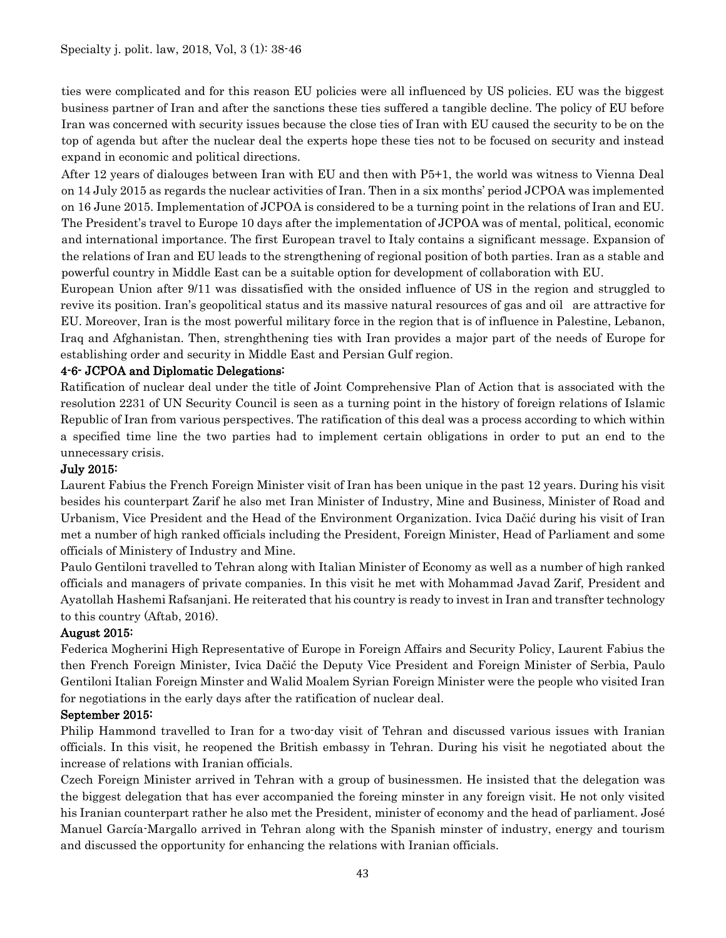ties were complicated and for this reason EU policies were all influenced by US policies. EU was the biggest business partner of Iran and after the sanctions these ties suffered a tangible decline. The policy of EU before Iran was concerned with security issues because the close ties of Iran with EU caused the security to be on the top of agenda but after the nuclear deal the experts hope these ties not to be focused on security and instead expand in economic and political directions.

After 12 years of dialouges between Iran with EU and then with P5+1, the world was witness to Vienna Deal on 14 July 2015 as regards the nuclear activities of Iran. Then in a six months' period JCPOA was implemented on 16 June 2015. Implementation of JCPOA is considered to be a turning point in the relations of Iran and EU. The President's travel to Europe 10 days after the implementation of JCPOA was of mental, political, economic and international importance. The first European travel to Italy contains a significant message. Expansion of the relations of Iran and EU leads to the strengthening of regional position of both parties. Iran as a stable and powerful country in Middle East can be a suitable option for development of collaboration with EU.

European Union after 9/11 was dissatisfied with the onsided influence of US in the region and struggled to revive its position. Iran's geopolitical status and its massive natural resources of gas and oil are attractive for EU. Moreover, Iran is the most powerful military force in the region that is of influence in Palestine, Lebanon, Iraq and Afghanistan. Then, strenghthening ties with Iran provides a major part of the needs of Europe for establishing order and security in Middle East and Persian Gulf region.

## 4-6- JCPOA and Diplomatic Delegations:

Ratification of nuclear deal under the title of Joint Comprehensive Plan of Action that is associated with the resolution 2231 of UN Security Council is seen as a turning point in the history of foreign relations of Islamic Republic of Iran from various perspectives. The ratification of this deal was a process according to which within a specified time line the two parties had to implement certain obligations in order to put an end to the unnecessary crisis.

#### July 2015:

Laurent Fabius the French Foreign Minister visit of Iran has been unique in the past 12 years. During his visit besides his counterpart Zarif he also met Iran Minister of Industry, Mine and Business, Minister of Road and Urbanism, Vice President and the Head of the Environment Organization. Ivica Dačić during his visit of Iran met a number of high ranked officials including the President, Foreign Minister, Head of Parliament and some officials of Ministery of Industry and Mine.

Paulo Gentiloni travelled to Tehran along with Italian Minister of Economy as well as a number of high ranked officials and managers of private companies. In this visit he met with Mohammad Javad Zarif, President and Ayatollah Hashemi Rafsanjani. He reiterated that his country is ready to invest in Iran and transfter technology to this country (Aftab, 2016).

#### August 2015:

Federica Mogherini High Representative of Europe in Foreign Affairs and Security Policy, Laurent Fabius the then French Foreign Minister, Ivica Dačić the Deputy Vice President and Foreign Minister of Serbia, Paulo Gentiloni Italian Foreign Minster and Walid Moalem Syrian Foreign Minister were the people who visited Iran for negotiations in the early days after the ratification of nuclear deal.

#### September 2015:

Philip Hammond travelled to Iran for a two-day visit of Tehran and discussed various issues with Iranian officials. In this visit, he reopened the British embassy in Tehran. During his visit he negotiated about the increase of relations with Iranian officials.

Czech Foreign Minister arrived in Tehran with a group of businessmen. He insisted that the delegation was the biggest delegation that has ever accompanied the foreing minster in any foreign visit. He not only visited his Iranian counterpart rather he also met the President, minister of economy and the head of parliament. José Manuel García-Margallo arrived in Tehran along with the Spanish minster of industry, energy and tourism and discussed the opportunity for enhancing the relations with Iranian officials.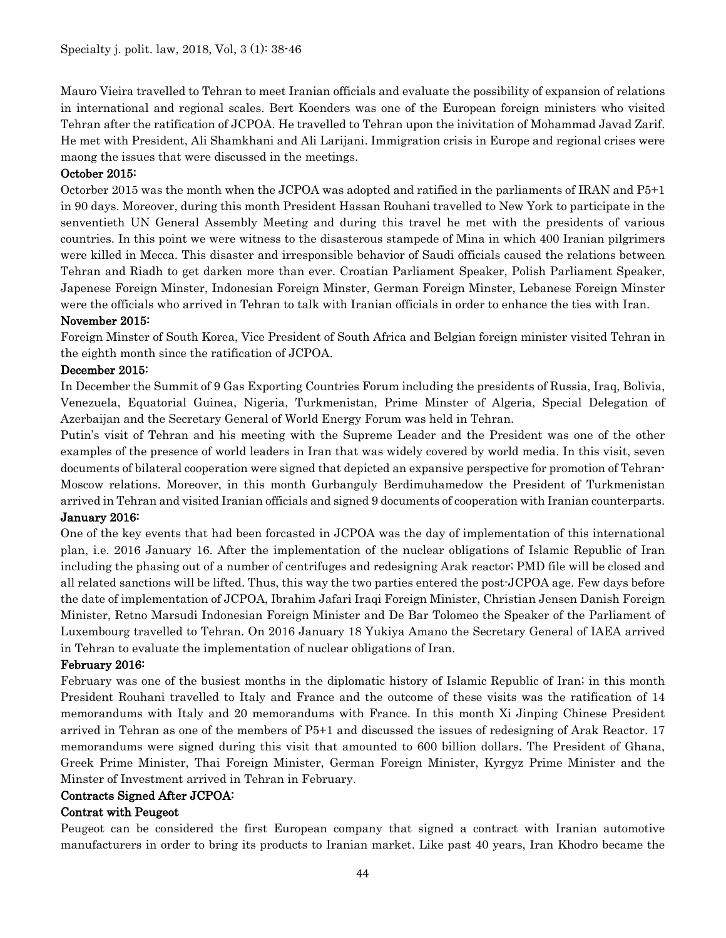Mauro Vieira travelled to Tehran to meet Iranian officials and evaluate the possibility of expansion of relations in international and regional scales. Bert Koenders was one of the European foreign ministers who visited Tehran after the ratification of JCPOA. He travelled to Tehran upon the inivitation of Mohammad Javad Zarif. He met with President, Ali Shamkhani and Ali Larijani. Immigration crisis in Europe and regional crises were maong the issues that were discussed in the meetings.

## October 2015:

Octorber 2015 was the month when the JCPOA was adopted and ratified in the parliaments of IRAN and P5+1 in 90 days. Moreover, during this month President Hassan Rouhani travelled to New York to participate in the senventieth UN General Assembly Meeting and during this travel he met with the presidents of various countries. In this point we were witness to the disasterous stampede of Mina in which 400 Iranian pilgrimers were killed in Mecca. This disaster and irresponsible behavior of Saudi officials caused the relations between Tehran and Riadh to get darken more than ever. Croatian Parliament Speaker, Polish Parliament Speaker, Japenese Foreign Minster, Indonesian Foreign Minster, German Foreign Minster, Lebanese Foreign Minster were the officials who arrived in Tehran to talk with Iranian officials in order to enhance the ties with Iran.

#### November 2015:

Foreign Minster of South Korea, Vice President of South Africa and Belgian foreign minister visited Tehran in the eighth month since the ratification of JCPOA.

## December 2015:

In December the Summit of 9 Gas Exporting Countries Forum including the presidents of Russia, Iraq, Bolivia, Venezuela, Equatorial Guinea, Nigeria, Turkmenistan, Prime Minster of Algeria, Special Delegation of Azerbaijan and the Secretary General of World Energy Forum was held in Tehran.

Putin's visit of Tehran and his meeting with the Supreme Leader and the President was one of the other examples of the presence of world leaders in Iran that was widely covered by world media. In this visit, seven documents of bilateral cooperation were signed that depicted an expansive perspective for promotion of Tehran-Moscow relations. Moreover, in this month Gurbanguly Berdimuhamedow the President of Turkmenistan arrived in Tehran and visited Iranian officials and signed 9 documents of cooperation with Iranian counterparts.

#### January 2016:

One of the key events that had been forcasted in JCPOA was the day of implementation of this international plan, i.e. 2016 January 16. After the implementation of the nuclear obligations of Islamic Republic of Iran including the phasing out of a number of centrifuges and redesigning Arak reactor; PMD file will be closed and all related sanctions will be lifted. Thus, this way the two parties entered the post-JCPOA age. Few days before the date of implementation of JCPOA, Ibrahim Jafari Iraqi Foreign Minister, Christian Jensen Danish Foreign Minister, Retno Marsudi Indonesian Foreign Minister and De Bar Tolomeo the Speaker of the Parliament of Luxembourg travelled to Tehran. On 2016 January 18 Yukiya Amano the Secretary General of IAEA arrived in Tehran to evaluate the implementation of nuclear obligations of Iran.

#### February 2016:

February was one of the busiest months in the diplomatic history of Islamic Republic of Iran; in this month President Rouhani travelled to Italy and France and the outcome of these visits was the ratification of 14 memorandums with Italy and 20 memorandums with France. In this month Xi Jinping Chinese President arrived in Tehran as one of the members of P5+1 and discussed the issues of redesigning of Arak Reactor. 17 memorandums were signed during this visit that amounted to 600 billion dollars. The President of Ghana, Greek Prime Minister, Thai Foreign Minister, German Foreign Minister, Kyrgyz Prime Minister and the Minster of Investment arrived in Tehran in February.

#### Contracts Signed After JCPOA:

#### Contrat with Peugeot

Peugeot can be considered the first European company that signed a contract with Iranian automotive manufacturers in order to bring its products to Iranian market. Like past 40 years, Iran Khodro became the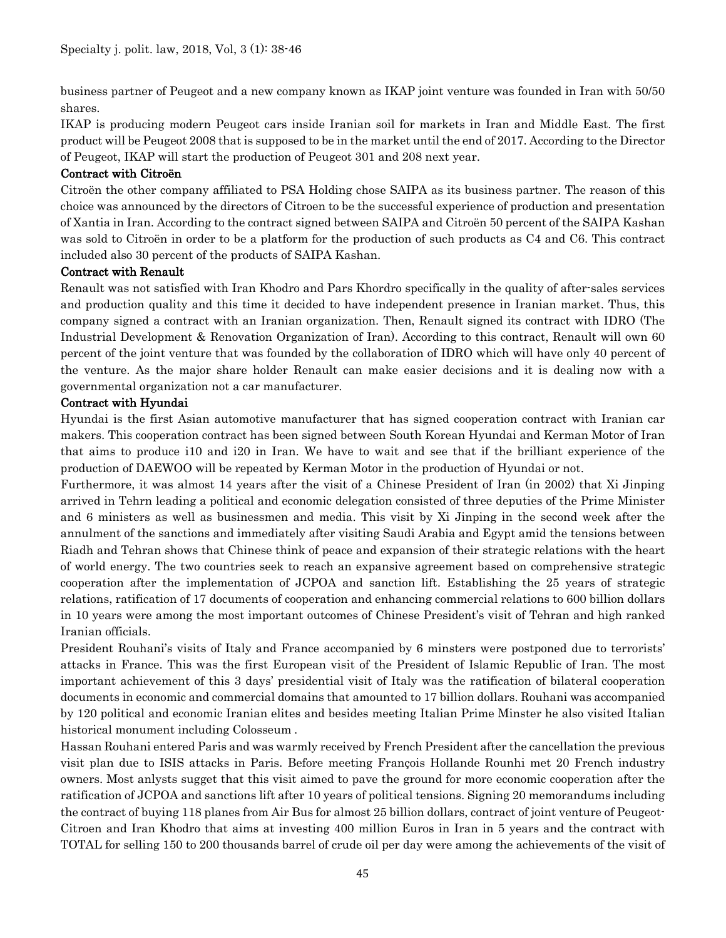business partner of Peugeot and a new company known as IKAP joint venture was founded in Iran with 50/50 shares.

IKAP is producing modern Peugeot cars inside Iranian soil for markets in Iran and Middle East. The first product will be Peugeot 2008 that is supposed to be in the market until the end of 2017. According to the Director of Peugeot, IKAP will start the production of Peugeot 301 and 208 next year.

#### Contract with Citroën

Citroën the other company affiliated to PSA Holding chose SAIPA as its business partner. The reason of this choice was announced by the directors of Citroen to be the successful experience of production and presentation of Xantia in Iran. According to the contract signed between SAIPA and Citroën 50 percent of the SAIPA Kashan was sold to Citroën in order to be a platform for the production of such products as C4 and C6. This contract included also 30 percent of the products of SAIPA Kashan.

## Contract with Renault

Renault was not satisfied with Iran Khodro and Pars Khordro specifically in the quality of after-sales services and production quality and this time it decided to have independent presence in Iranian market. Thus, this company signed a contract with an Iranian organization. Then, Renault signed its contract with IDRO (The Industrial Development & Renovation Organization of Iran). According to this contract, Renault will own 60 percent of the joint venture that was founded by the collaboration of IDRO which will have only 40 percent of the venture. As the major share holder Renault can make easier decisions and it is dealing now with a governmental organization not a car manufacturer.

## Contract with Hyundai

Hyundai is the first Asian automotive manufacturer that has signed cooperation contract with Iranian car makers. This cooperation contract has been signed between South Korean Hyundai and Kerman Motor of Iran that aims to produce i10 and i20 in Iran. We have to wait and see that if the brilliant experience of the production of DAEWOO will be repeated by Kerman Motor in the production of Hyundai or not.

Furthermore, it was almost 14 years after the visit of a Chinese President of Iran (in 2002) that Xi Jinping arrived in Tehrn leading a political and economic delegation consisted of three deputies of the Prime Minister and 6 ministers as well as businessmen and media. This visit by Xi Jinping in the second week after the annulment of the sanctions and immediately after visiting Saudi Arabia and Egypt amid the tensions between Riadh and Tehran shows that Chinese think of peace and expansion of their strategic relations with the heart of world energy. The two countries seek to reach an expansive agreement based on comprehensive strategic cooperation after the implementation of JCPOA and sanction lift. Establishing the 25 years of strategic relations, ratification of 17 documents of cooperation and enhancing commercial relations to 600 billion dollars in 10 years were among the most important outcomes of Chinese President's visit of Tehran and high ranked Iranian officials.

President Rouhani's visits of Italy and France accompanied by 6 minsters were postponed due to terrorists' attacks in France. This was the first European visit of the President of Islamic Republic of Iran. The most important achievement of this 3 days' presidential visit of Italy was the ratification of bilateral cooperation documents in economic and commercial domains that amounted to 17 billion dollars. Rouhani was accompanied by 120 political and economic Iranian elites and besides meeting Italian Prime Minster he also visited Italian historical monument including Colosseum .

Hassan Rouhani entered Paris and was warmly received by French President after the cancellation the previous visit plan due to ISIS attacks in Paris. Before meeting François Hollande Rounhi met 20 French industry owners. Most anlysts sugget that this visit aimed to pave the ground for more economic cooperation after the ratification of JCPOA and sanctions lift after 10 years of political tensions. Signing 20 memorandums including the contract of buying 118 planes from Air Bus for almost 25 billion dollars, contract of joint venture of Peugeot-Citroen and Iran Khodro that aims at investing 400 million Euros in Iran in 5 years and the contract with TOTAL for selling 150 to 200 thousands barrel of crude oil per day were among the achievements of the visit of